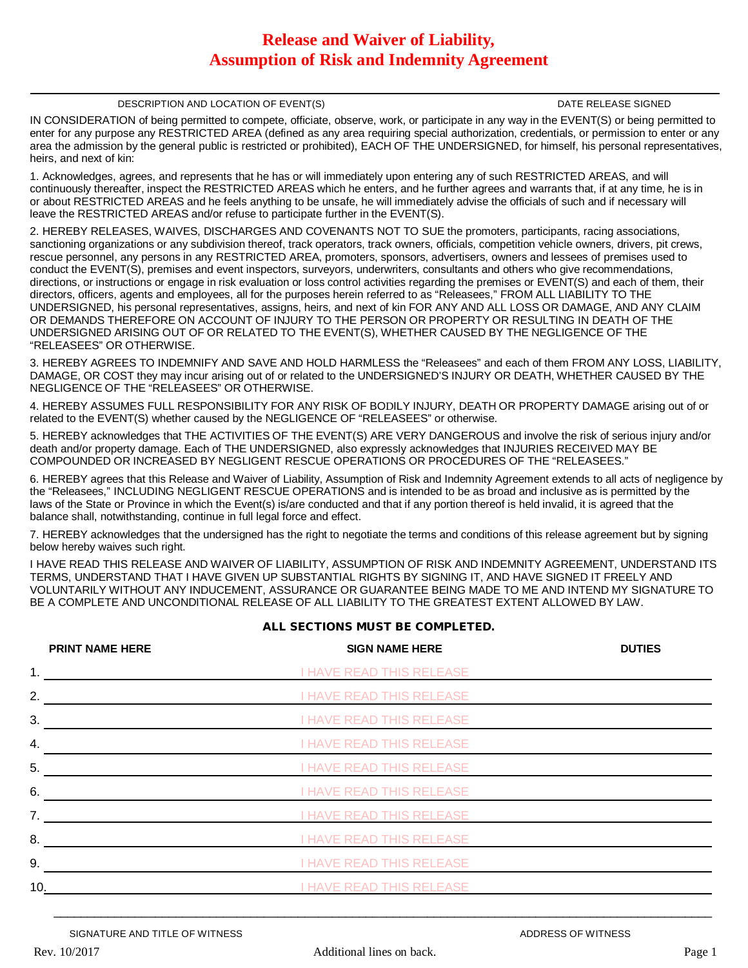# **Release and Waiver of Liability, Assumption of Risk and Indemnity Agreement**

### DESCRIPTION AND LOCATION OF EVENT(S) DESCRIPTION AND LOCATION OF EVENTS)

IN CONSIDERATION of being permitted to compete, officiate, observe, work, or participate in any way in the EVENT(S) or being permitted to enter for any purpose any RESTRICTED AREA (defined as any area requiring special authorization, credentials, or permission to enter or any area the admission by the general public is restricted or prohibited), EACH OF THE UNDERSIGNED, for himself, his personal representatives, heirs, and next of kin:

1. Acknowledges, agrees, and represents that he has or will immediately upon entering any of such RESTRICTED AREAS, and will continuously thereafter, inspect the RESTRICTED AREAS which he enters, and he further agrees and warrants that, if at any time, he is in or about RESTRICTED AREAS and he feels anything to be unsafe, he will immediately advise the officials of such and if necessary will leave the RESTRICTED AREAS and/or refuse to participate further in the EVENT(S).

2. HEREBY RELEASES, WAIVES, DISCHARGES AND COVENANTS NOT TO SUE the promoters, participants, racing associations, sanctioning organizations or any subdivision thereof, track operators, track owners, officials, competition vehicle owners, drivers, pit crews, rescue personnel, any persons in any RESTRICTED AREA, promoters, sponsors, advertisers, owners and lessees of premises used to conduct the EVENT(S), premises and event inspectors, surveyors, underwriters, consultants and others who give recommendations, directions, or instructions or engage in risk evaluation or loss control activities regarding the premises or EVENT(S) and each of them, their directors, officers, agents and employees, all for the purposes herein referred to as "Releasees," FROM ALL LIABILITY TO THE UNDERSIGNED, his personal representatives, assigns, heirs, and next of kin FOR ANY AND ALL LOSS OR DAMAGE, AND ANY CLAIM OR DEMANDS THEREFORE ON ACCOUNT OF INJURY TO THE PERSON OR PROPERTY OR RESULTING IN DEATH OF THE UNDERSIGNED ARISING OUT OF OR RELATED TO THE EVENT(S), WHETHER CAUSED BY THE NEGLIGENCE OF THE "RELEASEES" OR OTHERWISE.

3. HEREBY AGREES TO INDEMNIFY AND SAVE AND HOLD HARMLESS the "Releasees" and each of them FROM ANY LOSS, LIABILITY, DAMAGE, OR COST they may incur arising out of or related to the UNDERSIGNED'S INJURY OR DEATH, WHETHER CAUSED BY THE NEGLIGENCE OF THE "RELEASEES" OR OTHERWISE.

4. HEREBY ASSUMES FULL RESPONSIBILITY FOR ANY RISK OF BODILY INJURY, DEATH OR PROPERTY DAMAGE arising out of or related to the EVENT(S) whether caused by the NEGLIGENCE OF "RELEASEES" or otherwise.

5. HEREBY acknowledges that THE ACTIVITIES OF THE EVENT(S) ARE VERY DANGEROUS and involve the risk of serious injury and/or death and/or property damage. Each of THE UNDERSIGNED, also expressly acknowledges that INJURIES RECEIVED MAY BE COMPOUNDED OR INCREASED BY NEGLIGENT RESCUE OPERATIONS OR PROCEDURES OF THE "RELEASEES."

6. HEREBY agrees that this Release and Waiver of Liability, Assumption of Risk and Indemnity Agreement extends to all acts of negligence by the "Releasees," INCLUDING NEGLIGENT RESCUE OPERATIONS and is intended to be as broad and inclusive as is permitted by the laws of the State or Province in which the Event(s) is/are conducted and that if any portion thereof is held invalid, it is agreed that the balance shall, notwithstanding, continue in full legal force and effect.

7. HEREBY acknowledges that the undersigned has the right to negotiate the terms and conditions of this release agreement but by signing below hereby waives such right.

I HAVE READ THIS RELEASE AND WAIVER OF LIABILITY, ASSUMPTION OF RISK AND INDEMNITY AGREEMENT, UNDERSTAND ITS TERMS, UNDERSTAND THAT I HAVE GIVEN UP SUBSTANTIAL RIGHTS BY SIGNING IT, AND HAVE SIGNED IT FREELY AND VOLUNTARILY WITHOUT ANY INDUCEMENT, ASSURANCE OR GUARANTEE BEING MADE TO ME AND INTEND MY SIGNATURE TO BE A COMPLETE AND UNCONDITIONAL RELEASE OF ALL LIABILITY TO THE GREATEST EXTENT ALLOWED BY LAW.

|                | <b>PRINT NAME HERE</b> | <b>SIGN NAME HERE</b>           | <b>DUTIES</b> |
|----------------|------------------------|---------------------------------|---------------|
| 1.             |                        | <b>I HAVE READ THIS RELEASE</b> |               |
| 2.             |                        | <b>I HAVE READ THIS RELEASE</b> |               |
| 3.             |                        | <b>I HAVE READ THIS RELEASE</b> |               |
| 4.             |                        | <b>I HAVE READ THIS RELEASE</b> |               |
| 5.             |                        | <b>I HAVE READ THIS RELEASE</b> |               |
| 6.             |                        | <b>I HAVE READ THIS RELEASE</b> |               |
| 7 <sub>1</sub> |                        | <b>I HAVE READ THIS RELEASE</b> |               |
| 8.             |                        | <b>I HAVE READ THIS RELEASE</b> |               |
| 9.             |                        | <b>I HAVE READ THIS RELEASE</b> |               |
| 10.            |                        | <b>I HAVE READ THIS RELEASE</b> |               |

## **ALL SECTIONS MUST BE COMPLETED.**

 $\mathcal{L}_\mathcal{L} = \mathcal{L}_\mathcal{L} = \mathcal{L}_\mathcal{L} = \mathcal{L}_\mathcal{L} = \mathcal{L}_\mathcal{L} = \mathcal{L}_\mathcal{L} = \mathcal{L}_\mathcal{L} = \mathcal{L}_\mathcal{L} = \mathcal{L}_\mathcal{L} = \mathcal{L}_\mathcal{L} = \mathcal{L}_\mathcal{L} = \mathcal{L}_\mathcal{L} = \mathcal{L}_\mathcal{L} = \mathcal{L}_\mathcal{L} = \mathcal{L}_\mathcal{L} = \mathcal{L}_\mathcal{L} = \mathcal{L}_\mathcal{L}$